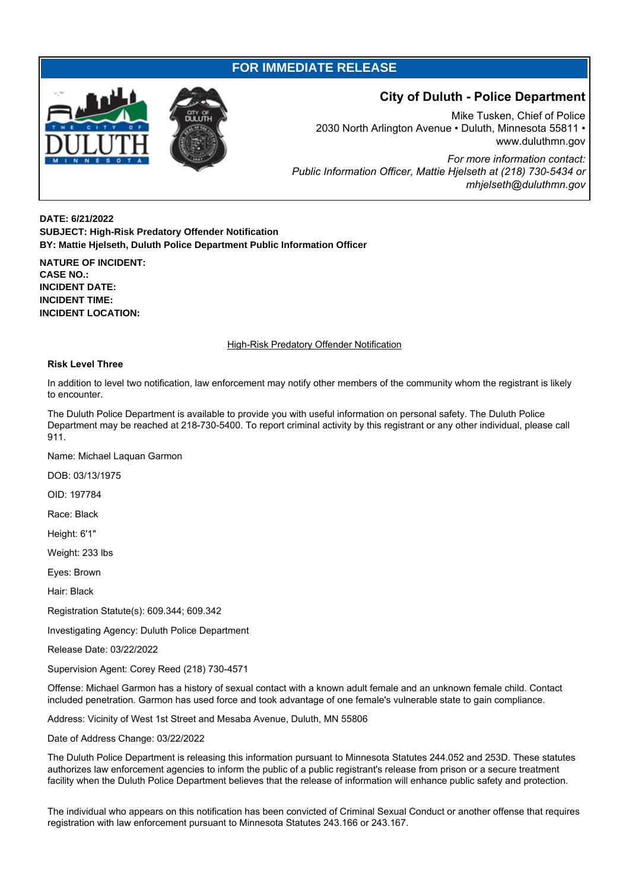## **FOR IMMEDIATE RELEASE**



## **City of Duluth - Police Department**

Mike Tusken, Chief of Police 2030 North Arlington Avenue • Duluth, Minnesota 55811 • www.duluthmn.gov *For more information contact: Public Information Officer, Mattie Hjelseth at (218) 730-5434 or mhjelseth@duluthmn.gov*

**DATE: 6/21/2022 SUBJECT: High-Risk Predatory Offender Notification BY: Mattie Hjelseth, Duluth Police Department Public Information Officer**

**NATURE OF INCIDENT: CASE NO.: INCIDENT DATE: INCIDENT TIME: INCIDENT LOCATION:**

## High-Risk Predatory Offender Notification

## **Risk Level Three**

In addition to level two notification, law enforcement may notify other members of the community whom the registrant is likely to encounter.

The Duluth Police Department is available to provide you with useful information on personal safety. The Duluth Police Department may be reached at 218-730-5400. To report criminal activity by this registrant or any other individual, please call 911.

Name: Michael Laquan Garmon

DOB: 03/13/1975

OID: 197784

Race: Black

Height: 6'1"

Weight: 233 lbs

Eyes: Brown

Hair: Black

Registration Statute(s): 609.344; 609.342

Investigating Agency: Duluth Police Department

Release Date: 03/22/2022

Supervision Agent: Corey Reed (218) 730-4571

Offense: Michael Garmon has a history of sexual contact with a known adult female and an unknown female child. Contact included penetration. Garmon has used force and took advantage of one female's vulnerable state to gain compliance.

Address: Vicinity of West 1st Street and Mesaba Avenue, Duluth, MN 55806

Date of Address Change: 03/22/2022

The Duluth Police Department is releasing this information pursuant to Minnesota Statutes 244.052 and 253D. These statutes authorizes law enforcement agencies to inform the public of a public registrant's release from prison or a secure treatment facility when the Duluth Police Department believes that the release of information will enhance public safety and protection.

The individual who appears on this notification has been convicted of Criminal Sexual Conduct or another offense that requires registration with law enforcement pursuant to Minnesota Statutes 243.166 or 243.167.